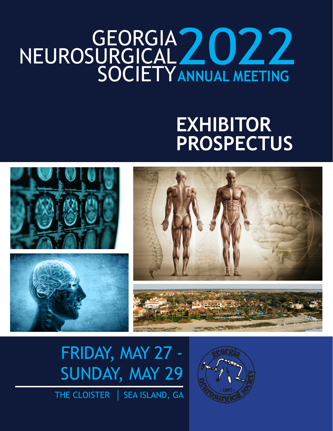## GEORGIA NEUROSURGICAL, SOCIETY 2022 **ANNUAL MEETING**

# **EXHIBITOR PROSPECTUS**





# FRIDAY, MAY 27 - SUNDAY, MAY 29

THE CLOISTER | SEA ISLAND, GA

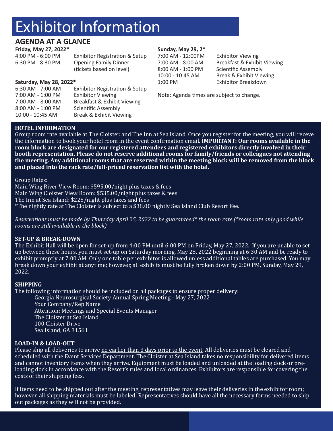# Exhibitor Information

6:30 AM - 7:00 AM Exhibitor Registration & Setup

7:00 AM - 8:00 AM Breakfast & Exhibit Viewing

7:00 AM - 1:00 PM Exhibitor Viewing

8:00 AM - 1:00 PM Scientific Assembly 10:00 - 10:45 AM Break & Exhibit Viewing

### **AGENDA AT A GLANCE**

#### **Friday, May 27, 2022\***

**Saturday, May 28, 2022\***

4:00 PM - 6:00 PM Exhibitor Registration & Setup<br>6:30 PM - 8:30 PM Opening Family Dinner Opening Family Dinner (tickets based on level)

#### **Sunday, May 29, 2\***

7:00 AM - 12:00PM Exhibitor Viewing 8:00 AM - 1:00 PM Scientific Assembly<br>10:00 - 10:45 AM Break & Exhibit View

Breakfast & Exhibit Viewing Break & Exhibit Viewing 1:00 PM Exhibitor Breakdown

Note: Agenda times are subject to change.

### **HOTEL INFORMATION**

Group room rate available at The Cloister. and The Inn at Sea Island. Once you register for the meeting, you will receve the information to book your hotel room in the event confirmation email. **IMPORTANT: Our rooms available in the room block are designated for our registered attendees and registered exhibitors directly involved in their booth representation. Please do not reserve additional rooms for family/friends or colleagues not attending the meeting. Any additional rooms that are reserved within the meeting block will be removed from the block and placed into the rack rate/full-priced reservation list with the hotel.**

Group Rates:

Main Wing River View Room: \$595.00/night plus taxes & fees Main Wing Cloister View Room: \$535.00/night plus taxes & fees The Inn at Sea Island: \$225/night plus taxes and fees \*The nightly rate at The Cloister is subject to a \$38.00 nightly Sea Island Club Resort Fee.

*Reservations must be made by Thursday April 25, 2022 to be guaranteed\* the room rate.(\*room rate only good while rooms are still available in the block)*

#### **SET-UP & BREAK-DOWN**

The Exhibit Hall will be open for set-up from 4:00 PM until 6:00 PM on Friday, May 27, 2022. If you are unable to set up between these hours, you must set-up on Saturday morning, May 28, 2022 beginning at 6:30 AM and be ready to exhibit promptly at 7:00 AM. Only one table per exhibitor is allowed unless additional tables are purchased. You may break down your exhibit at anytime; however, all exhibits must be fully broken down by 2:00 PM, Sunday, May 29, 2022.

#### **SHIPPING**

The following information should be included on all packages to ensure proper delivery:

Georgia Neurosurgical Society Annual Spring Meeting - May 27, 2022 Your Company/Rep Name Attention: Meetings and Special Events Manager The Cloister at Sea Island 100 Cloister Drive Sea Island, GA 31561

#### **LOAD-IN & LOAD-OUT**

Please ship all deliveries to arrive no earlier than 3 days prior to the event. All deliveries must be cleared and scheduled with the Event Services Department. The Cloister at Sea Island takes no responsibility for delivered items and cannot inventory items when they arrive. Equipment must be loaded and unloaded at the loading dock or preloading dock in accordance with the Resort's rules and local ordinances. Exhibitors are responsible for covering the costs of their shipping fees.

If items need to be shipped out after the meeting, representatives may leave their deliveries in the exhibitor room; however, all shipping materials must be labeled. Representatives should have all the necessary forms needed to ship out packages as they will not be provided.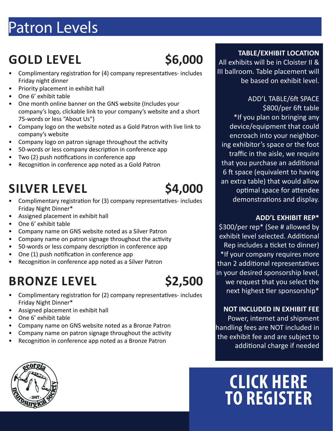# Patron Levels

# **GOLD LEVEL \$6,000**

- Complimentary registration for (4) company representatives- includes Friday night dinner
- Priority placement in exhibit hall
- One 6' exhibit table
- One month online banner on the GNS website (Includes your company's logo, clickable link to your company's website and a short 75-words or less "About Us")
- Company logo on the website noted as a Gold Patron with live link to company's website
- Company logo on patron signage throughout the activity
- 50-words or less company description in conference app
- Two (2) push notifications in conference app
- Recognition in conference app noted as a Gold Patron

# SILVER LEVEL \$4,000

- Complimentary registration for (3) company representatives- includes Friday Night Dinner\*
- Assigned placement in exhibit hall
- One 6' exhibit table
- Company name on GNS website noted as a Silver Patron
- Company name on patron signage throughout the activity
- 50-words or less company description in conference app
- One (1) push notification in conference app
- Recognition in conference app noted as a Silver Patron

# **BRONZE LEVEL \$2,500**



- Complimentary registration for (2) company representatives- includes Friday Night Dinner\*
- Assigned placement in exhibit hall
- One 6' exhibit table
- Company name on GNS website noted as a Bronze Patron
- Company name on patron signage throughout the activity
- Recognition in conference app noted as a Bronze Patron

### **TABLE/EXHIBIT LOCATION**

All exhibits will be in Cloister II & III ballroom. Table placement will be based on exhibit level.

ADD'L TABLE/6ft SPACE \$800/per 6ft table \*If you plan on bringing any device/equipment that could encroach into your neighboring exhibitor's space or the foot traffic in the aisle, we require that you purchase an additional 6 ft space (equivalent to having an extra table) that would allow optimal space for attendee demonstrations and display.

### **ADD'L EXHIBIT REP\***

\$300/per rep\* (See # allowed by exhibit level selected. Additional Rep includes a ticket to dinner) \*If your company requires more than 2 additional representatives in your desired sponsorship level, we request that you select the next highest tier sponsorship\*

### **NOT INCLUDED IN EXHIBIT FEE**

Power, internet and shipment handling fees are NOT included in the exhibit fee and are subject to additional charge if needed

# **CLICK HERE TO REGISTER**

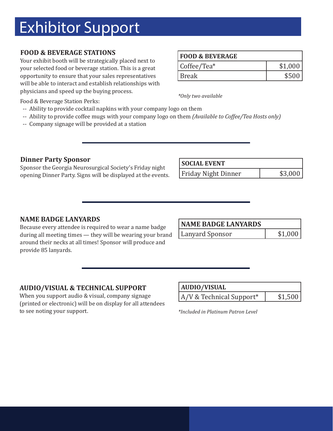# Exhibitor Support

### **FOOD & BEVERAGE STATIONS**

Your exhibit booth will be strategically placed next to your selected food or beverage station. This is a great opportunity to ensure that your sales representatives will be able to interact and establish relationships with physicians and speed up the buying process.

| Food & Beverage Station Perks: |  |
|--------------------------------|--|
|--------------------------------|--|

- -- Ability to provide cocktail napkins with your company logo on them
- -- Ability to provide coffee mugs with your company logo on them *(Available to Coffee/Tea Hosts only)*
- -- Company signage will be provided at a station

### **Dinner Party Sponsor**

Sponsor the Georgia Neurosurgical Society's Friday night opening Dinner Party. Signs will be displayed at the events.

| <b>FOOD &amp; BEVERAGE</b> |         |
|----------------------------|---------|
| Coffee/Tea*                | \$1,000 |
| Break                      | \$500   |

*\*Only two available*

| <b>SOCIAL EVENT</b>        |         |
|----------------------------|---------|
| <b>Friday Night Dinner</b> | \$3,000 |

### **NAME BADGE LANYARDS**

Because every attendee is required to wear a name badge during all meeting times — they will be wearing your brand around their necks at all times! Sponsor will produce and provide 85 lanyards.

| <b>NAME BADGE LANYARDS</b> |         |
|----------------------------|---------|
| Lanyard Sponsor            | \$1,000 |

#### **AUDIO/VISUAL & TECHNICAL SUPPORT**

When you support audio & visual, company signage (printed or electronic) will be on display for all attendees to see noting your support.

| <b>AUDIO/VISUAL</b>        |         |
|----------------------------|---------|
| $A/V$ & Technical Support* | \$1,500 |

*\*Included in Platinum Patron Level*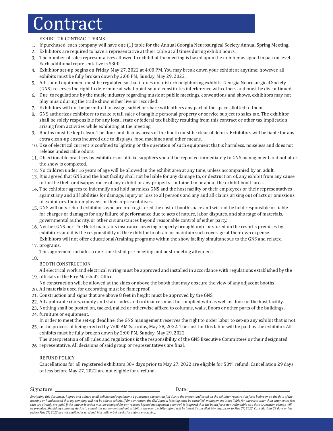# **Contract**

#### EXHIBITOR CONTRACT TERMS

- 1. If purchased, each company will have one (1) table for the Annual Georgia Neurosurgical Society Annual Spring Meeting.
- Exhibitors are required to have a representative at their table at all times during exhibit hours. 2.
- 3. The number of sales representatives allowed to exhibit at the meeting is based upon the number assigned in patron level. Each additional representative is \$300.
- Exhibitor set-up begins on Friday, May 27, 2022 at 4:00 PM. You may break down your exhibit at anytime; however, all 4. exhibits must be fully broken down by 2:00 PM, Sunday, May 29, 2022.
- 5. All sound equipment must be regulated so that it does not disturb neighboring exhibits. Georgia Neurosurgical Society (GNS) reserves the right to determine at what point sound constitutes interference with others and must be discontinued.
- 6. Due to regulations by the music industry regarding music at public meetings, conventions and shows, exhibitors may not play music during the trade show, either live or recorded.
- Exhibitors will not be permitted to assign, sublet or share with others any part of the space allotted to them. 7.
- GNS authorizes exhibitors to make retail sales of tangible personal property or service subject to sales tax. The exhibitor 8. shall be solely responsible for any local, state or federal tax liability resulting from this contract or other tax implication arising from activities while exhibiting at the meeting.
- Booths must be kept clean. The floor and display areas of the booth must be clear of debris. Exhibitors will be liable for any 9. extra clean-up costs incurred due to displays, food machines and other means.
- Use of electrical current is confined to lighting or the operation of such equipment that is harmless, noiseless and does not 10. release undesirable odors.
- 11. Objectionable practices by exhibitors or official suppliers should be reported immediately to GNS management and not after the show is completed.
- 12. No children under 16 years of age will be allowed in the exhibit area at any time, unless accompanied by an adult.
- 13. It is agreed that GNS and the host facility shall not be liable for any damage to, or destruction of, any exhibit from any cause or for the theft or disappearance of any exhibit or any property contained in or about the exhibit booth area.
- 14. The exhibitor agrees to indemnify and hold harmless GNS and the host facility or their employees or their representatives against any and all liabilities for damage, injury or loss to all persons and any and all claims arising out of acts or omissions of exhibitors, their employees or their representatives.
- 15. GNS will only refund exhibitors who are pre-registered the cost of booth space and will not be held responsible or liable for charges or damages for any failure of performance due to acts of nature, labor disputes, and shortage of materials, governmental authority, or other circumstances beyond reasonable control of either party.
- 16. Neither GNS nor The Hotel maintains insurance covering property brought onto or stored on the resort's premises by exhibitors and it is the responsibility of the exhibitor to obtain or maintain such coverage at their own expense. Exhibitors will not offer educational/training programs within the show facility simultaneous to the GNS and related
- 17. programs.
	- This agreement includes a one-time list of pre-meeting and post-meeting attendees.
- 18.

#### BOOTH CONSTRUCTION

All electrical work and electrical wiring must be approved and installed in accordance with regulations established by the officials of the Fire Marshal's Office. 19.

- No construction will be allowed at the sides or above the booth that may obscure the view of any adjacent booths.
- 20. All materials used for decorating must be flameproof.
- $21.$  Construction and signs that are above  $8$  feet in height must be approved by the GNS.  $\,$
- 22. All applicable cities, county and state codes and ordinances must be complied with as well as those of the host facility.
- 23. Nothing shall be posted on, tacked, nailed or otherwise affixed to columns, walls, floors or other parts of the buildings,
- 24. furniture or equipment. In order to meet the set-up deadline, the GNS management reserves the right to order labor to set-up any exhibit that is not
- 25, in the process of being erected by 7:00 AM Saturday, May 28, 2022. The cost for this labor will be paid by the exhibitor. All exhibits must be fully broken down by 2:00 PM, Sunday, May 29, 2022.
- The interpretation of all rules and regulations is the responsibility of the GNS Executive Committees or their designated 26, representative. All decisions of said group or representatives are final.

#### REFUND POLICY

Cancellations for all registered exhibitors 30+ days prior to May 27, 2022 are eligible for 50% refund. Cancellation 29 days or less before May 27, 2022 are not eligible for a refund.

#### Signature: \_\_\_\_\_\_\_\_\_\_\_\_\_\_\_\_\_\_\_\_\_\_\_\_\_\_\_\_\_\_\_\_\_\_\_\_\_\_\_\_\_\_\_\_\_\_\_\_\_\_\_\_ Date: \_\_\_\_\_\_\_\_\_\_\_\_\_\_\_\_\_\_\_\_\_\_\_\_\_\_\_\_\_\_\_\_\_\_\_\_\_\_\_\_\_\_\_\_\_\_\_\_\_\_

By signing this document, I agree and adhere to all policies and regulations. I guarantee payment in full due to the amount indicated on the exhibitor registration form before or on the date of the *meeting or I understand that my company will not be able to exhibit. If for any reason, the GNS Annual Meeting must be cancelled, management is not liable for any costs other than entry space fees that are already pre-paid. If the date or location must be changed for any reasons beyond management's control, it is agreed that the booth fee is non-refundable as a date or location change will*  be provided. Should my company decide to cancel this agreement and not exhibit at the event, a 50% refund will be issued if cancelled 30+ days prior to May 27, 2022. Cancellations 29 days or less<br>before May 27, 2022 are no